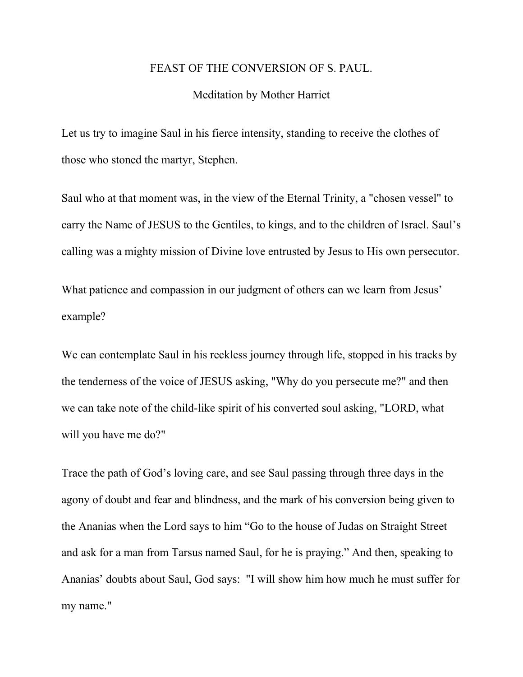## FEAST OF THE CONVERSION OF S. PAUL.

## Meditation by Mother Harriet

Let us try to imagine Saul in his fierce intensity, standing to receive the clothes of those who stoned the martyr, Stephen.

Saul who at that moment was, in the view of the Eternal Trinity, a "chosen vessel" to carry the Name of JESUS to the Gentiles, to kings, and to the children of Israel. Saul's calling was a mighty mission of Divine love entrusted by Jesus to His own persecutor.

What patience and compassion in our judgment of others can we learn from Jesus' example?

We can contemplate Saul in his reckless journey through life, stopped in his tracks by the tenderness of the voice of JESUS asking, "Why do you persecute me?" and then we can take note of the child-like spirit of his converted soul asking, "LORD, what will you have me do?"

Trace the path of God's loving care, and see Saul passing through three days in the agony of doubt and fear and blindness, and the mark of his conversion being given to the Ananias when the Lord says to him "Go to the house of Judas on Straight Street and ask for a man from Tarsus named Saul, for he is praying." And then, speaking to Ananias' doubts about Saul, God says: "I will show him how much he must suffer for my name."